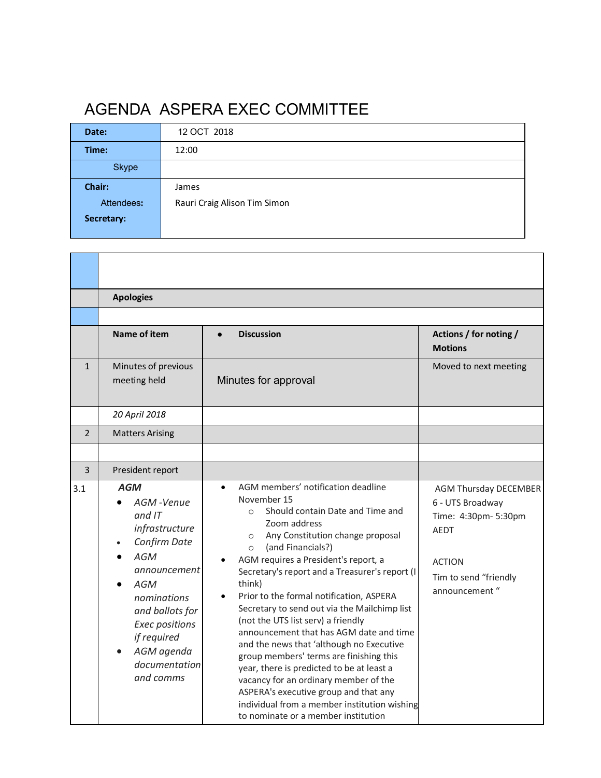## AGENDA ASPERA EXEC COMMITTEE

| Date:        | 12 OCT 2018                  |  |
|--------------|------------------------------|--|
| Time:        | 12:00                        |  |
| <b>Skype</b> |                              |  |
| Chair:       | James                        |  |
| Attendees:   | Rauri Craig Alison Tim Simon |  |
| Secretary:   |                              |  |
|              |                              |  |

<u> 1989 - Johann Stoff, deutscher Stoffen und der Stoffen und der Stoffen und der Stoffen und der Stoffen und de</u>

|                | <b>Apologies</b>                                                                                                                                                                                                   |                                                                                                                                                                                                                                                                                                                                                                                                                                                                                                                                                                                                                                                                                                                                                                                                |                                                                                                                                              |
|----------------|--------------------------------------------------------------------------------------------------------------------------------------------------------------------------------------------------------------------|------------------------------------------------------------------------------------------------------------------------------------------------------------------------------------------------------------------------------------------------------------------------------------------------------------------------------------------------------------------------------------------------------------------------------------------------------------------------------------------------------------------------------------------------------------------------------------------------------------------------------------------------------------------------------------------------------------------------------------------------------------------------------------------------|----------------------------------------------------------------------------------------------------------------------------------------------|
|                |                                                                                                                                                                                                                    |                                                                                                                                                                                                                                                                                                                                                                                                                                                                                                                                                                                                                                                                                                                                                                                                |                                                                                                                                              |
|                | Name of item                                                                                                                                                                                                       | <b>Discussion</b>                                                                                                                                                                                                                                                                                                                                                                                                                                                                                                                                                                                                                                                                                                                                                                              | Actions / for noting /<br><b>Motions</b>                                                                                                     |
| $\mathbf{1}$   | Minutes of previous<br>meeting held                                                                                                                                                                                | Minutes for approval                                                                                                                                                                                                                                                                                                                                                                                                                                                                                                                                                                                                                                                                                                                                                                           | Moved to next meeting                                                                                                                        |
|                | 20 April 2018                                                                                                                                                                                                      |                                                                                                                                                                                                                                                                                                                                                                                                                                                                                                                                                                                                                                                                                                                                                                                                |                                                                                                                                              |
| $\overline{2}$ | <b>Matters Arising</b>                                                                                                                                                                                             |                                                                                                                                                                                                                                                                                                                                                                                                                                                                                                                                                                                                                                                                                                                                                                                                |                                                                                                                                              |
|                |                                                                                                                                                                                                                    |                                                                                                                                                                                                                                                                                                                                                                                                                                                                                                                                                                                                                                                                                                                                                                                                |                                                                                                                                              |
| 3              | President report                                                                                                                                                                                                   |                                                                                                                                                                                                                                                                                                                                                                                                                                                                                                                                                                                                                                                                                                                                                                                                |                                                                                                                                              |
| 3.1            | <b>AGM</b><br>AGM-Venue<br>$and$ IT<br>infrastructure<br>Confirm Date<br>AGM<br>announcement<br>AGM<br>nominations<br>and ballots for<br>Exec positions<br>if required<br>AGM agenda<br>documentation<br>and comms | AGM members' notification deadline<br>November 15<br>Should contain Date and Time and<br>$\Omega$<br>Zoom address<br>Any Constitution change proposal<br>$\circ$<br>(and Financials?)<br>$\circ$<br>AGM requires a President's report, a<br>Secretary's report and a Treasurer's report (I<br>think)<br>Prior to the formal notification, ASPERA<br>Secretary to send out via the Mailchimp list<br>(not the UTS list serv) a friendly<br>announcement that has AGM date and time<br>and the news that 'although no Executive<br>group members' terms are finishing this<br>year, there is predicted to be at least a<br>vacancy for an ordinary member of the<br>ASPERA's executive group and that any<br>individual from a member institution wishing<br>to nominate or a member institution | <b>AGM Thursday DECEMBER</b><br>6 - UTS Broadway<br>Time: 4:30pm- 5:30pm<br>AEDT<br><b>ACTION</b><br>Tim to send "friendly<br>announcement " |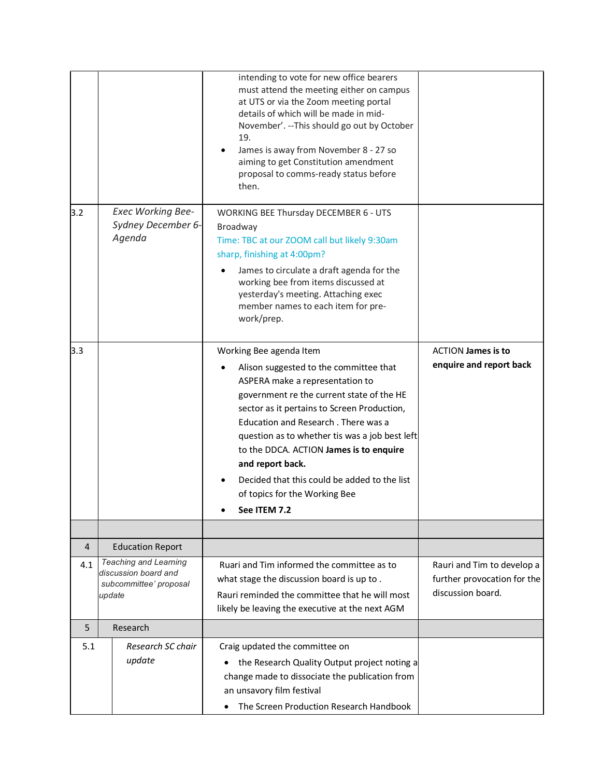|     |                                                                                          | intending to vote for new office bearers<br>must attend the meeting either on campus<br>at UTS or via the Zoom meeting portal<br>details of which will be made in mid-<br>November'. -- This should go out by October<br>19.<br>James is away from November 8 - 27 so<br>aiming to get Constitution amendment<br>proposal to comms-ready status before<br>then.                                                                                            |                                                                                |
|-----|------------------------------------------------------------------------------------------|------------------------------------------------------------------------------------------------------------------------------------------------------------------------------------------------------------------------------------------------------------------------------------------------------------------------------------------------------------------------------------------------------------------------------------------------------------|--------------------------------------------------------------------------------|
| 3.2 | <b>Exec Working Bee-</b><br>Sydney December 6-<br>Agenda                                 | <b>WORKING BEE Thursday DECEMBER 6 - UTS</b><br>Broadway<br>Time: TBC at our ZOOM call but likely 9:30am<br>sharp, finishing at 4:00pm?<br>James to circulate a draft agenda for the<br>working bee from items discussed at<br>yesterday's meeting. Attaching exec<br>member names to each item for pre-<br>work/prep.                                                                                                                                     |                                                                                |
| 3.3 |                                                                                          | Working Bee agenda Item<br>Alison suggested to the committee that<br>ASPERA make a representation to<br>government re the current state of the HE<br>sector as it pertains to Screen Production,<br>Education and Research . There was a<br>question as to whether tis was a job best left<br>to the DDCA. ACTION James is to enquire<br>and report back.<br>Decided that this could be added to the list<br>of topics for the Working Bee<br>See ITEM 7.2 | <b>ACTION James is to</b><br>enquire and report back                           |
|     |                                                                                          |                                                                                                                                                                                                                                                                                                                                                                                                                                                            |                                                                                |
| 4   | <b>Education Report</b>                                                                  |                                                                                                                                                                                                                                                                                                                                                                                                                                                            |                                                                                |
| 4.1 | <b>Teaching and Learning</b><br>discussion board and<br>subcommittee' proposal<br>update | Ruari and Tim informed the committee as to<br>what stage the discussion board is up to.<br>Rauri reminded the committee that he will most<br>likely be leaving the executive at the next AGM                                                                                                                                                                                                                                                               | Rauri and Tim to develop a<br>further provocation for the<br>discussion board. |
| 5   | Research                                                                                 |                                                                                                                                                                                                                                                                                                                                                                                                                                                            |                                                                                |
| 5.1 | Research SC chair<br>update                                                              | Craig updated the committee on<br>the Research Quality Output project noting a<br>change made to dissociate the publication from<br>an unsavory film festival<br>The Screen Production Research Handbook                                                                                                                                                                                                                                                   |                                                                                |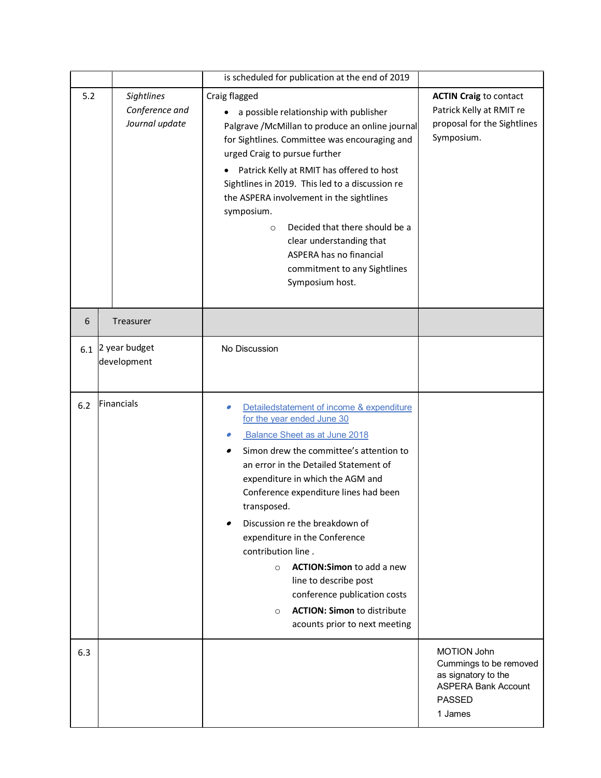|                                                       |                              | is scheduled for publication at the end of 2019                                                                                                                                                                                                                                                                                                                                                                                                                                                                                                                             |                                                                                                                               |
|-------------------------------------------------------|------------------------------|-----------------------------------------------------------------------------------------------------------------------------------------------------------------------------------------------------------------------------------------------------------------------------------------------------------------------------------------------------------------------------------------------------------------------------------------------------------------------------------------------------------------------------------------------------------------------------|-------------------------------------------------------------------------------------------------------------------------------|
| 5.2<br>Sightlines<br>Conference and<br>Journal update |                              | Craig flagged<br>a possible relationship with publisher<br>Palgrave /McMillan to produce an online journal<br>for Sightlines. Committee was encouraging and<br>urged Craig to pursue further<br>Patrick Kelly at RMIT has offered to host<br>Sightlines in 2019. This led to a discussion re<br>the ASPERA involvement in the sightlines<br>symposium.<br>Decided that there should be a<br>$\circ$<br>clear understanding that<br>ASPERA has no financial<br>commitment to any Sightlines<br>Symposium host.                                                               | <b>ACTIN Craig to contact</b><br>Patrick Kelly at RMIT re<br>proposal for the Sightlines<br>Symposium.                        |
| 6                                                     | Treasurer                    |                                                                                                                                                                                                                                                                                                                                                                                                                                                                                                                                                                             |                                                                                                                               |
| 6.1                                                   | 2 year budget<br>development | No Discussion                                                                                                                                                                                                                                                                                                                                                                                                                                                                                                                                                               |                                                                                                                               |
| $6.2$                                                 | Financials                   | Detailedstatement of income & expenditure<br>for the year ended June 30<br>Balance Sheet as at June 2018<br>Simon drew the committee's attention to<br>an error in the Detailed Statement of<br>expenditure in which the AGM and<br>Conference expenditure lines had been<br>transposed.<br>Discussion re the breakdown of<br>expenditure in the Conference<br>contribution line.<br><b>ACTION:Simon to add a new</b><br>$\circ$<br>line to describe post<br>conference publication costs<br><b>ACTION: Simon to distribute</b><br>$\circ$<br>acounts prior to next meeting |                                                                                                                               |
| 6.3                                                   |                              |                                                                                                                                                                                                                                                                                                                                                                                                                                                                                                                                                                             | <b>MOTION John</b><br>Cummings to be removed<br>as signatory to the<br><b>ASPERA Bank Account</b><br><b>PASSED</b><br>1 James |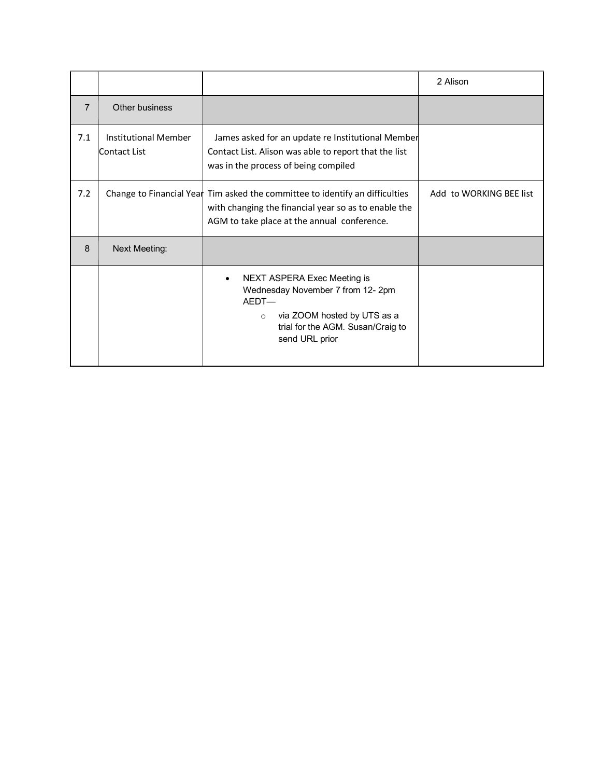|                |                                             |                                                                                                                                                                                     | 2 Alison                |
|----------------|---------------------------------------------|-------------------------------------------------------------------------------------------------------------------------------------------------------------------------------------|-------------------------|
| $\overline{7}$ | Other business                              |                                                                                                                                                                                     |                         |
| 7.1            | <b>Institutional Member</b><br>Contact List | James asked for an update re Institutional Member<br>Contact List. Alison was able to report that the list<br>was in the process of being compiled                                  |                         |
| 7.2            |                                             | Change to Financial Year Tim asked the committee to identify an difficulties<br>with changing the financial year so as to enable the<br>AGM to take place at the annual conference. | Add to WORKING BEE list |
| 8              | <b>Next Meeting:</b>                        |                                                                                                                                                                                     |                         |
|                |                                             | NEXT ASPERA Exec Meeting is<br>Wednesday November 7 from 12-2pm<br>AFDT-<br>via ZOOM hosted by UTS as a<br>$\circ$<br>trial for the AGM. Susan/Craig to<br>send URL prior           |                         |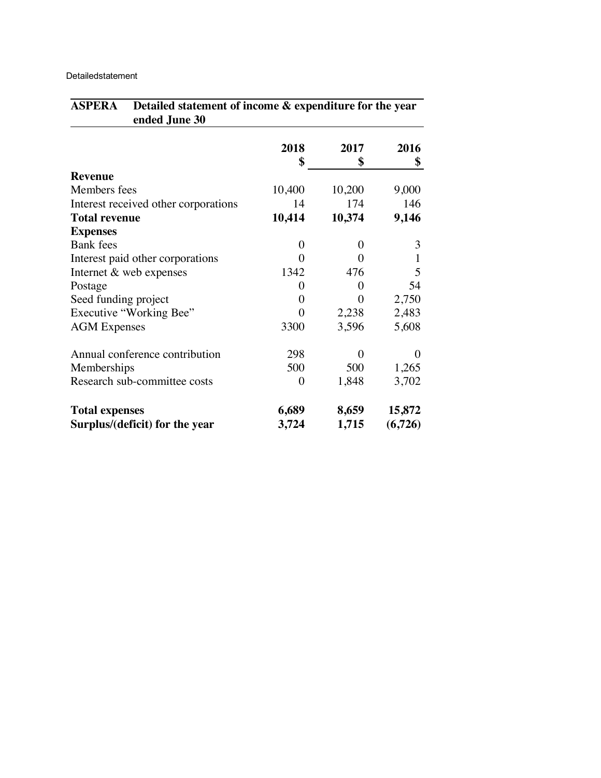Detailedstatement

| ended June 30                        |                |          |          |
|--------------------------------------|----------------|----------|----------|
|                                      | 2018           | 2017     | 2016     |
|                                      | \$             | \$       | \$       |
| <b>Revenue</b>                       |                |          |          |
| Members fees                         | 10,400         | 10,200   | 9,000    |
| Interest received other corporations | 14             | 174      | 146      |
| <b>Total revenue</b>                 | 10,414         | 10,374   | 9,146    |
| <b>Expenses</b>                      |                |          |          |
| <b>Bank</b> fees                     | $\Omega$       | $\Omega$ | 3        |
| Interest paid other corporations     | 0              | 0        | 1        |
| Internet & web expenses              | 1342           | 476      | 5        |
| Postage                              | 0              | 0        | 54       |
| Seed funding project                 | 0              | 0        | 2,750    |
| Executive "Working Bee"              | 0              | 2,238    | 2,483    |
| <b>AGM</b> Expenses                  | 3300           | 3,596    | 5,608    |
| Annual conference contribution       | 298            | 0        | $\Omega$ |
| Memberships                          | 500            | 500      | 1,265    |
| Research sub-committee costs         | $\overline{0}$ | 1,848    | 3,702    |
| <b>Total expenses</b>                | 6,689          | 8,659    | 15,872   |
| Surplus/(deficit) for the year       | 3,724          | 1,715    | (6,726)  |

**ASPERA Detailed statement of income & expenditure for the year**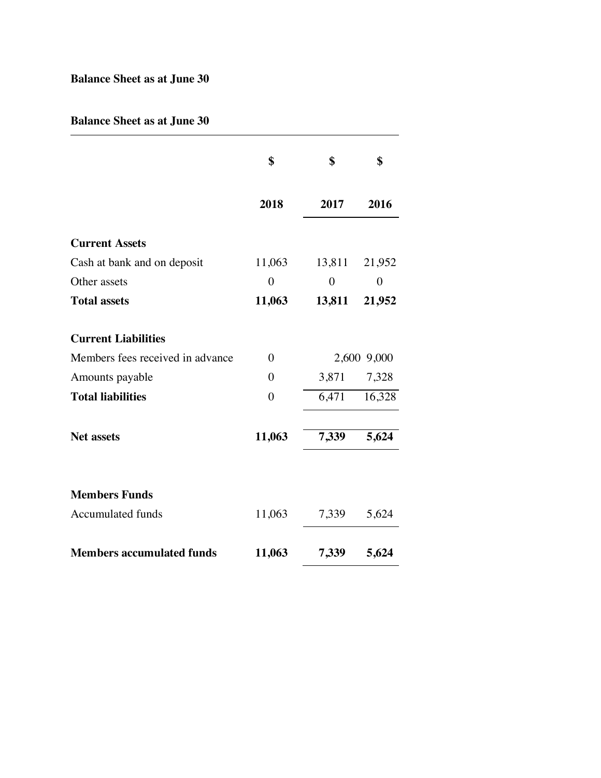## **Balance Sheet as at June 30**

## **Balance Sheet as at June 30**

|                                  | \$             | \$             | \$             |
|----------------------------------|----------------|----------------|----------------|
|                                  | 2018           | 2017           | 2016           |
| <b>Current Assets</b>            |                |                |                |
| Cash at bank and on deposit      | 11,063         | 13,811         | 21,952         |
| Other assets                     | $\overline{0}$ | $\overline{0}$ | $\overline{0}$ |
| <b>Total assets</b>              | 11,063         | 13,811         | 21,952         |
| <b>Current Liabilities</b>       |                |                |                |
| Members fees received in advance | $\theta$       |                | 2,600 9,000    |
| Amounts payable                  | $\theta$       | 3,871          | 7,328          |
| <b>Total liabilities</b>         | $\theta$       | 6,471          | 16,328         |
| <b>Net assets</b>                | 11,063         | 7,339          | 5,624          |
| <b>Members Funds</b>             |                |                |                |
| <b>Accumulated funds</b>         | 11,063         | 7,339          | 5,624          |
| <b>Members accumulated funds</b> | 11,063         | 7,339          | 5,624          |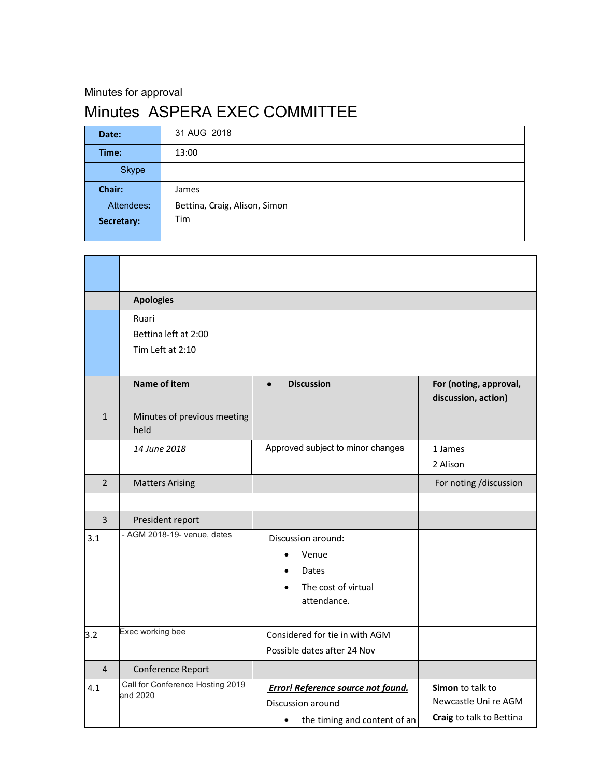Minutes for approval

## Minutes ASPERA EXEC COMMITTEE

| Date:        | 31 AUG 2018                   |
|--------------|-------------------------------|
| Time:        | 13:00                         |
| <b>Skype</b> |                               |
| Chair:       | James                         |
| Attendees:   | Bettina, Craig, Alison, Simon |
| Secretary:   | Tim                           |
|              |                               |

|                | <b>Apologies</b>                    |                                           |                                               |  |
|----------------|-------------------------------------|-------------------------------------------|-----------------------------------------------|--|
|                | Ruari                               |                                           |                                               |  |
|                | Bettina left at 2:00                |                                           |                                               |  |
|                | Tim Left at 2:10                    |                                           |                                               |  |
|                | Name of item                        | <b>Discussion</b><br>$\bullet$            | For (noting, approval,<br>discussion, action) |  |
| $\mathbf{1}$   | Minutes of previous meeting<br>held |                                           |                                               |  |
|                | 14 June 2018                        | Approved subject to minor changes         | 1 James                                       |  |
|                |                                     |                                           | 2 Alison                                      |  |
| $\mathcal{P}$  | <b>Matters Arising</b>              |                                           | For noting /discussion                        |  |
|                |                                     |                                           |                                               |  |
| $\overline{3}$ | President report                    |                                           |                                               |  |
| 3.1            | - AGM 2018-19- venue, dates         | Discussion around:                        |                                               |  |
|                |                                     | Venue                                     |                                               |  |
|                |                                     | Dates                                     |                                               |  |
|                |                                     | The cost of virtual                       |                                               |  |
|                |                                     | attendance.                               |                                               |  |
| 3.2            | Exec working bee                    | Considered for tie in with AGM            |                                               |  |
|                |                                     | Possible dates after 24 Nov               |                                               |  |
| $\overline{4}$ | Conference Report                   |                                           |                                               |  |
| 4.1            | Call for Conference Hosting 2019    | <b>Error! Reference source not found.</b> | Simon to talk to                              |  |
|                | and 2020                            | Discussion around                         | Newcastle Uni re AGM                          |  |
|                |                                     | the timing and content of an<br>$\bullet$ | Craig to talk to Bettina                      |  |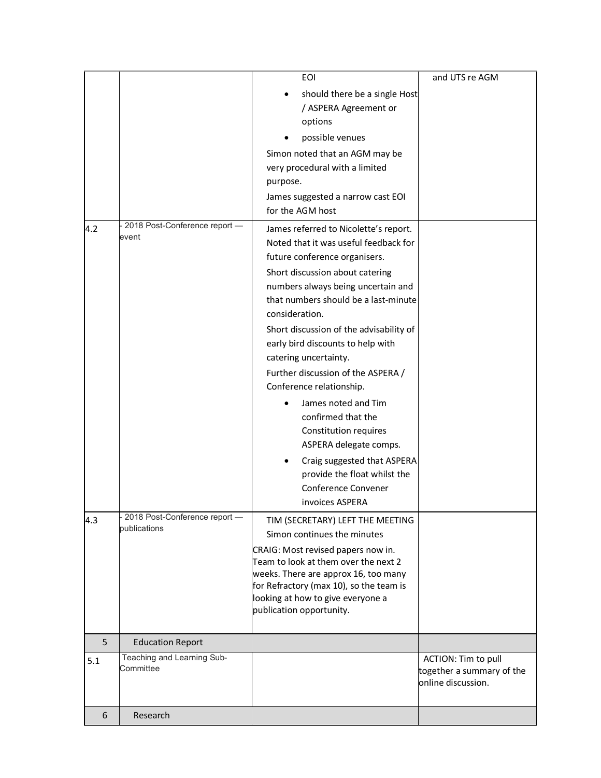|     |                                               | <b>EOI</b>                                                                                                                                                                                                                                                                                                                                                                                                                                                                                                                                                                                                                                          | and UTS re AGM                                                         |
|-----|-----------------------------------------------|-----------------------------------------------------------------------------------------------------------------------------------------------------------------------------------------------------------------------------------------------------------------------------------------------------------------------------------------------------------------------------------------------------------------------------------------------------------------------------------------------------------------------------------------------------------------------------------------------------------------------------------------------------|------------------------------------------------------------------------|
|     |                                               | should there be a single Host<br>/ ASPERA Agreement or<br>options                                                                                                                                                                                                                                                                                                                                                                                                                                                                                                                                                                                   |                                                                        |
|     |                                               | possible venues                                                                                                                                                                                                                                                                                                                                                                                                                                                                                                                                                                                                                                     |                                                                        |
|     |                                               | Simon noted that an AGM may be<br>very procedural with a limited<br>purpose.<br>James suggested a narrow cast EOI                                                                                                                                                                                                                                                                                                                                                                                                                                                                                                                                   |                                                                        |
|     |                                               | for the AGM host                                                                                                                                                                                                                                                                                                                                                                                                                                                                                                                                                                                                                                    |                                                                        |
| 4.2 | 2018 Post-Conference report -<br>event        | James referred to Nicolette's report.<br>Noted that it was useful feedback for<br>future conference organisers.<br>Short discussion about catering<br>numbers always being uncertain and<br>that numbers should be a last-minute<br>consideration.<br>Short discussion of the advisability of<br>early bird discounts to help with<br>catering uncertainty.<br>Further discussion of the ASPERA /<br>Conference relationship.<br>James noted and Tim<br>$\bullet$<br>confirmed that the<br>Constitution requires<br>ASPERA delegate comps.<br>Craig suggested that ASPERA<br>provide the float whilst the<br>Conference Convener<br>invoices ASPERA |                                                                        |
| 4.3 | 2018 Post-Conference report -<br>publications | TIM (SECRETARY) LEFT THE MEETING<br>Simon continues the minutes<br>CRAIG: Most revised papers now in.<br>Team to look at them over the next 2<br>weeks. There are approx 16, too many<br>for Refractory (max 10), so the team is<br>looking at how to give everyone a<br>publication opportunity.                                                                                                                                                                                                                                                                                                                                                   |                                                                        |
| 5   | <b>Education Report</b>                       |                                                                                                                                                                                                                                                                                                                                                                                                                                                                                                                                                                                                                                                     |                                                                        |
| 5.1 | Teaching and Learning Sub-<br>Committee       |                                                                                                                                                                                                                                                                                                                                                                                                                                                                                                                                                                                                                                                     | ACTION: Tim to pull<br>together a summary of the<br>online discussion. |
| 6   | Research                                      |                                                                                                                                                                                                                                                                                                                                                                                                                                                                                                                                                                                                                                                     |                                                                        |